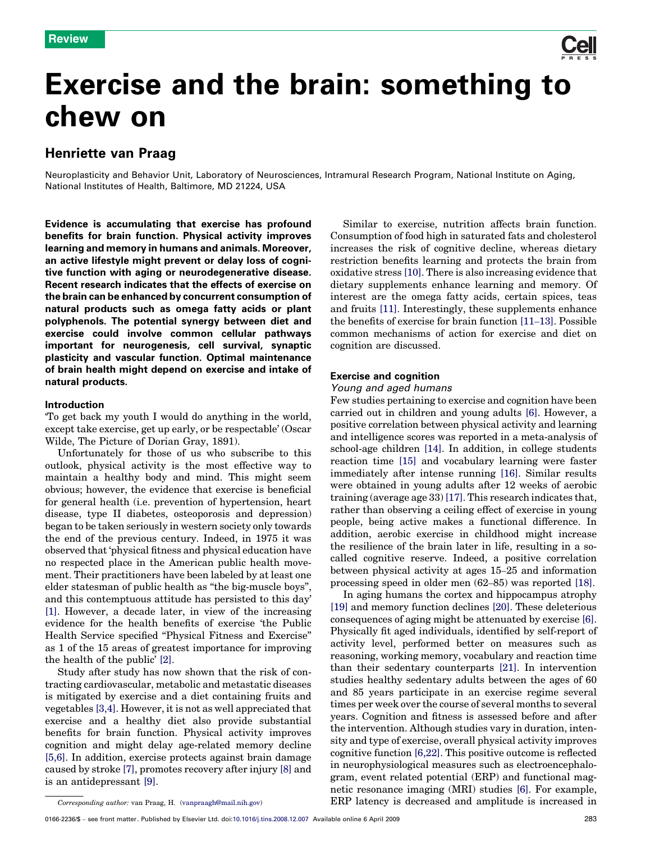

# Exercise and the brain: something to chew on

# Henriette van Praag

Neuroplasticity and Behavior Unit, Laboratory of Neurosciences, Intramural Research Program, National Institute on Aging, National Institutes of Health, Baltimore, MD 21224, USA

Evidence is accumulating that exercise has profound benefits for brain function. Physical activity improves learning and memory in humans and animals. Moreover, an active lifestyle might prevent or delay loss of cognitive function with aging or neurodegenerative disease. Recent research indicates that the effects of exercise on the brain can be enhanced by concurrent consumption of natural products such as omega fatty acids or plant polyphenols. The potential synergy between diet and exercise could involve common cellular pathways important for neurogenesis, cell survival, synaptic plasticity and vascular function. Optimal maintenance of brain health might depend on exercise and intake of natural products.

## Introduction

'To get back my youth I would do anything in the world, except take exercise, get up early, or be respectable' (Oscar Wilde, The Picture of Dorian Gray, 1891).

Unfortunately for those of us who subscribe to this outlook, physical activity is the most effective way to maintain a healthy body and mind. This might seem obvious; however, the evidence that exercise is beneficial for general health (i.e. prevention of hypertension, heart disease, type II diabetes, osteoporosis and depression) began to be taken seriously in western society only towards the end of the previous century. Indeed, in 1975 it was observed that 'physical fitness and physical education have no respected place in the American public health movement. Their practitioners have been labeled by at least one elder statesman of public health as ''the big-muscle boys'', and this contemptuous attitude has persisted to this day' [\[1\].](#page-5-0) However, a decade later, in view of the increasing evidence for the health benefits of exercise 'the Public Health Service specified ''Physical Fitness and Exercise'' as 1 of the 15 areas of greatest importance for improving the health of the public' [\[2\].](#page-5-0)

Study after study has now shown that the risk of contracting cardiovascular, metabolic and metastatic diseases is mitigated by exercise and a diet containing fruits and vegetables [\[3,4\]](#page-5-0). However, it is not as well appreciated that exercise and a healthy diet also provide substantial benefits for brain function. Physical activity improves cognition and might delay age-related memory decline [\[5,6\].](#page-5-0) In addition, exercise protects against brain damage caused by stroke [\[7\],](#page-5-0) promotes recovery after injury [\[8\]](#page-5-0) and is an antidepressant [\[9\].](#page-5-0)

Similar to exercise, nutrition affects brain function. Consumption of food high in saturated fats and cholesterol increases the risk of cognitive decline, whereas dietary restriction benefits learning and protects the brain from oxidative stress [\[10\]](#page-5-0). There is also increasing evidence that dietary supplements enhance learning and memory. Of interest are the omega fatty acids, certain spices, teas and fruits [\[11\]](#page-5-0). Interestingly, these supplements enhance the benefits of exercise for brain function [11–[13\].](#page-5-0) Possible common mechanisms of action for exercise and diet on cognition are discussed.

# Exercise and cognition

### Young and aged humans

Few studies pertaining to exercise and cognition have been carried out in children and young adults [\[6\].](#page-5-0) However, a positive correlation between physical activity and learning and intelligence scores was reported in a meta-analysis of school-age children [\[14\]](#page-5-0). In addition, in college students reaction time [\[15\]](#page-5-0) and vocabulary learning were faster immediately after intense running [\[16\]](#page-5-0). Similar results were obtained in young adults after 12 weeks of aerobic training (average age 33) [\[17\]](#page-5-0). This research indicates that, rather than observing a ceiling effect of exercise in young people, being active makes a functional difference. In addition, aerobic exercise in childhood might increase the resilience of the brain later in life, resulting in a socalled cognitive reserve. Indeed, a positive correlation between physical activity at ages 15–25 and information processing speed in older men (62–85) was reported [\[18\]](#page-6-0).

In aging humans the cortex and hippocampus atrophy [\[19\]](#page-6-0) and memory function declines [\[20\].](#page-6-0) These deleterious consequences of aging might be attenuated by exercise [\[6\]](#page-5-0). Physically fit aged individuals, identified by self-report of activity level, performed better on measures such as reasoning, working memory, vocabulary and reaction time than their sedentary counterparts [\[21\]](#page-6-0). In intervention studies healthy sedentary adults between the ages of 60 and 85 years participate in an exercise regime several times per week over the course of several months to several years. Cognition and fitness is assessed before and after the intervention. Although studies vary in duration, intensity and type of exercise, overall physical activity improves cognitive function [\[6,22\].](#page-5-0) This positive outcome is reflected in neurophysiological measures such as electroencephalogram, event related potential (ERP) and functional magnetic resonance imaging (MRI) studies [\[6\]](#page-5-0). For example, ERP latency is decreased and amplitude is increased in

Corresponding author: van Praag, H. ([vanpraagh@mail.nih.gov](mailto:vanpraagh@mail.nih.gov))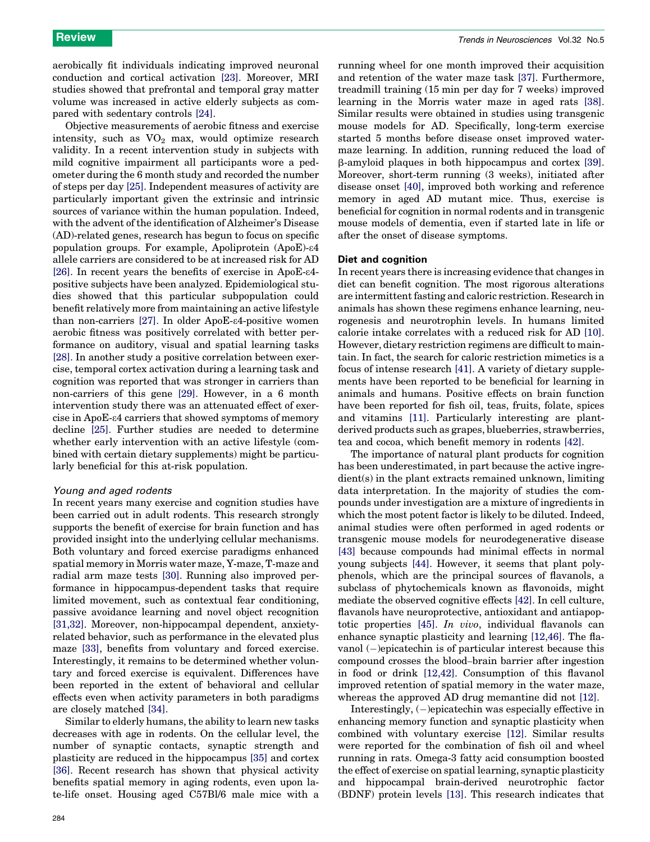aerobically fit individuals indicating improved neuronal conduction and cortical activation [\[23\].](#page-6-0) Moreover, MRI studies showed that prefrontal and temporal gray matter volume was increased in active elderly subjects as compared with sedentary controls [\[24\].](#page-6-0)

Objective measurements of aerobic fitness and exercise intensity, such as  $VO<sub>2</sub>$  max, would optimize research validity. In a recent intervention study in subjects with mild cognitive impairment all participants wore a pedometer during the 6 month study and recorded the number of steps per day [\[25\]](#page-6-0). Independent measures of activity are particularly important given the extrinsic and intrinsic sources of variance within the human population. Indeed, with the advent of the identification of Alzheimer's Disease (AD)-related genes, research has begun to focus on specific population groups. For example, Apoliprotein (ApoE)-e4 allele carriers are considered to be at increased risk for AD [\[26\]](#page-6-0). In recent years the benefits of exercise in ApoE- $\varepsilon$ 4positive subjects have been analyzed. Epidemiological studies showed that this particular subpopulation could benefit relatively more from maintaining an active lifestyle than non-carriers [\[27\]](#page-6-0). In older ApoE-e4-positive women aerobic fitness was positively correlated with better performance on auditory, visual and spatial learning tasks [\[28\]](#page-6-0). In another study a positive correlation between exercise, temporal cortex activation during a learning task and cognition was reported that was stronger in carriers than non-carriers of this gene [\[29\]](#page-6-0). However, in a 6 month intervention study there was an attenuated effect of exercise in ApoE-e4 carriers that showed symptoms of memory decline [\[25\]](#page-6-0). Further studies are needed to determine whether early intervention with an active lifestyle (combined with certain dietary supplements) might be particularly beneficial for this at-risk population.

#### Young and aged rodents

In recent years many exercise and cognition studies have been carried out in adult rodents. This research strongly supports the benefit of exercise for brain function and has provided insight into the underlying cellular mechanisms. Both voluntary and forced exercise paradigms enhanced spatial memory in Morris water maze, Y-maze, T-maze and radial arm maze tests [\[30\]](#page-6-0). Running also improved performance in hippocampus-dependent tasks that require limited movement, such as contextual fear conditioning, passive avoidance learning and novel object recognition [\[31,32\]](#page-6-0). Moreover, non-hippocampal dependent, anxietyrelated behavior, such as performance in the elevated plus maze [\[33\],](#page-6-0) benefits from voluntary and forced exercise. Interestingly, it remains to be determined whether voluntary and forced exercise is equivalent. Differences have been reported in the extent of behavioral and cellular effects even when activity parameters in both paradigms are closely matched [\[34\].](#page-6-0)

Similar to elderly humans, the ability to learn new tasks decreases with age in rodents. On the cellular level, the number of synaptic contacts, synaptic strength and plasticity are reduced in the hippocampus [\[35\]](#page-6-0) and cortex [\[36\]](#page-6-0). Recent research has shown that physical activity benefits spatial memory in aging rodents, even upon late-life onset. Housing aged C57Bl/6 male mice with a running wheel for one month improved their acquisition and retention of the water maze task [\[37\].](#page-6-0) Furthermore, treadmill training (15 min per day for 7 weeks) improved learning in the Morris water maze in aged rats [\[38\]](#page-6-0). Similar results were obtained in studies using transgenic mouse models for AD. Specifically, long-term exercise started 5 months before disease onset improved watermaze learning. In addition, running reduced the load of b-amyloid plaques in both hippocampus and cortex [\[39\]](#page-6-0). Moreover, short-term running (3 weeks), initiated after disease onset [\[40\]](#page-6-0), improved both working and reference memory in aged AD mutant mice. Thus, exercise is beneficial for cognition in normal rodents and in transgenic mouse models of dementia, even if started late in life or after the onset of disease symptoms.

#### Diet and cognition

In recent years there is increasing evidence that changes in diet can benefit cognition. The most rigorous alterations are intermittent fasting and caloric restriction. Research in animals has shown these regimens enhance learning, neurogenesis and neurotrophin levels. In humans limited calorie intake correlates with a reduced risk for AD [\[10\]](#page-5-0). However, dietary restriction regimens are difficult to maintain. In fact, the search for caloric restriction mimetics is a focus of intense research [\[41\]](#page-6-0). A variety of dietary supplements have been reported to be beneficial for learning in animals and humans. Positive effects on brain function have been reported for fish oil, teas, fruits, folate, spices and vitamins [\[11\]](#page-5-0). Particularly interesting are plantderived products such as grapes, blueberries, strawberries, tea and cocoa, which benefit memory in rodents [\[42\]](#page-6-0).

The importance of natural plant products for cognition has been underestimated, in part because the active ingredient(s) in the plant extracts remained unknown, limiting data interpretation. In the majority of studies the compounds under investigation are a mixture of ingredients in which the most potent factor is likely to be diluted. Indeed, animal studies were often performed in aged rodents or transgenic mouse models for neurodegenerative disease [\[43\]](#page-6-0) because compounds had minimal effects in normal young subjects [\[44\].](#page-6-0) However, it seems that plant polyphenols, which are the principal sources of flavanols, a subclass of phytochemicals known as flavonoids, might mediate the observed cognitive effects [\[42\].](#page-6-0) In cell culture, flavanols have neuroprotective, antioxidant and antiapoptotic properties [\[45\]](#page-6-0). In vivo, individual flavanols can enhance synaptic plasticity and learning [\[12,46\].](#page-5-0) The flavanol (-)epicatechin is of particular interest because this compound crosses the blood–brain barrier after ingestion in food or drink [\[12,42\].](#page-5-0) Consumption of this flavanol improved retention of spatial memory in the water maze, whereas the approved AD drug memantine did not [\[12\].](#page-5-0)

Interestingly, (-)epicatechin was especially effective in enhancing memory function and synaptic plasticity when combined with voluntary exercise [\[12\]](#page-5-0). Similar results were reported for the combination of fish oil and wheel running in rats. Omega-3 fatty acid consumption boosted the effect of exercise on spatial learning, synaptic plasticity and hippocampal brain-derived neurotrophic factor (BDNF) protein levels [\[13\]](#page-5-0). This research indicates that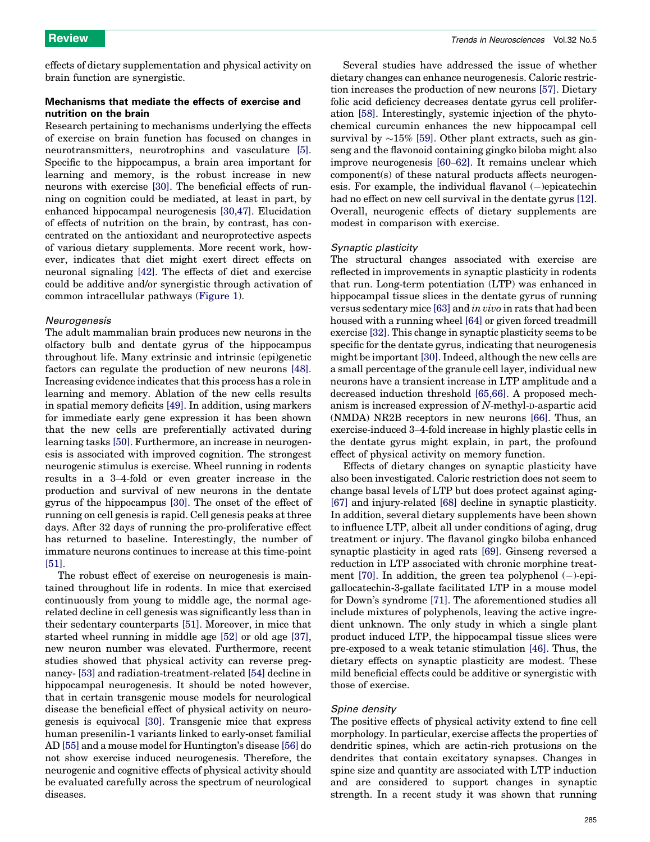effects of dietary supplementation and physical activity on brain function are synergistic.

# Mechanisms that mediate the effects of exercise and nutrition on the brain

Research pertaining to mechanisms underlying the effects of exercise on brain function has focused on changes in neurotransmitters, neurotrophins and vasculature [\[5\]](#page-5-0). Specific to the hippocampus, a brain area important for learning and memory, is the robust increase in new neurons with exercise [\[30\].](#page-6-0) The beneficial effects of running on cognition could be mediated, at least in part, by enhanced hippocampal neurogenesis [\[30,47\]](#page-6-0). Elucidation of effects of nutrition on the brain, by contrast, has concentrated on the antioxidant and neuroprotective aspects of various dietary supplements. More recent work, however, indicates that diet might exert direct effects on neuronal signaling [\[42\]](#page-6-0). The effects of diet and exercise could be additive and/or synergistic through activation of common intracellular pathways [\(Figure 1\)](#page-3-0).

#### Neurogenesis

The adult mammalian brain produces new neurons in the olfactory bulb and dentate gyrus of the hippocampus throughout life. Many extrinsic and intrinsic (epi)genetic factors can regulate the production of new neurons [\[48\]](#page-6-0). Increasing evidence indicates that this process has a role in learning and memory. Ablation of the new cells results in spatial memory deficits [\[49\]](#page-6-0). In addition, using markers for immediate early gene expression it has been shown that the new cells are preferentially activated during learning tasks [\[50\].](#page-6-0) Furthermore, an increase in neurogenesis is associated with improved cognition. The strongest neurogenic stimulus is exercise. Wheel running in rodents results in a 3–4-fold or even greater increase in the production and survival of new neurons in the dentate gyrus of the hippocampus [\[30\].](#page-6-0) The onset of the effect of running on cell genesis is rapid. Cell genesis peaks at three days. After 32 days of running the pro-proliferative effect has returned to baseline. Interestingly, the number of immature neurons continues to increase at this time-point [\[51\]](#page-6-0).

The robust effect of exercise on neurogenesis is maintained throughout life in rodents. In mice that exercised continuously from young to middle age, the normal agerelated decline in cell genesis was significantly less than in their sedentary counterparts [\[51\].](#page-6-0) Moreover, in mice that started wheel running in middle age [\[52\]](#page-6-0) or old age [\[37\]](#page-6-0), new neuron number was elevated. Furthermore, recent studies showed that physical activity can reverse pregnancy- [\[53\]](#page-6-0) and radiation-treatment-related [\[54\]](#page-6-0) decline in hippocampal neurogenesis. It should be noted however, that in certain transgenic mouse models for neurological disease the beneficial effect of physical activity on neurogenesis is equivocal [\[30\].](#page-6-0) Transgenic mice that express human presenilin-1 variants linked to early-onset familial AD [\[55\]](#page-6-0) and a mouse model for Huntington's disease [\[56\]](#page-6-0) do not show exercise induced neurogenesis. Therefore, the neurogenic and cognitive effects of physical activity should be evaluated carefully across the spectrum of neurological diseases.

Several studies have addressed the issue of whether dietary changes can enhance neurogenesis. Caloric restriction increases the production of new neurons [\[57\]](#page-6-0). Dietary folic acid deficiency decreases dentate gyrus cell proliferation [\[58\]](#page-6-0). Interestingly, systemic injection of the phytochemical curcumin enhances the new hippocampal cell survival by  $\sim$ 15% [\[59\].](#page-6-0) Other plant extracts, such as ginseng and the flavonoid containing gingko biloba might also improve neurogenesis [\[60](#page-6-0)–62]. It remains unclear which component(s) of these natural products affects neurogenesis. For example, the individual flavanol (-)epicatechin had no effect on new cell survival in the dentate gyrus [\[12\]](#page-5-0). Overall, neurogenic effects of dietary supplements are modest in comparison with exercise.

#### Synaptic plasticity

The structural changes associated with exercise are reflected in improvements in synaptic plasticity in rodents that run. Long-term potentiation (LTP) was enhanced in hippocampal tissue slices in the dentate gyrus of running versus sedentary mice [\[63\]](#page-6-0) and in vivo in rats that had been housed with a running wheel [\[64\]](#page-6-0) or given forced treadmill exercise [\[32\].](#page-6-0) This change in synaptic plasticity seems to be specific for the dentate gyrus, indicating that neurogenesis might be important[\[30\]](#page-6-0). Indeed, although the new cells are a small percentage of the granule cell layer, individual new neurons have a transient increase in LTP amplitude and a decreased induction threshold [\[65,66\]](#page-6-0). A proposed mechanism is increased expression of N-methyl-D-aspartic acid (NMDA) NR2B receptors in new neurons [\[66\].](#page-6-0) Thus, an exercise-induced 3–4-fold increase in highly plastic cells in the dentate gyrus might explain, in part, the profound effect of physical activity on memory function.

Effects of dietary changes on synaptic plasticity have also been investigated. Caloric restriction does not seem to change basal levels of LTP but does protect against aging- [\[67\]](#page-6-0) and injury-related [\[68\]](#page-6-0) decline in synaptic plasticity. In addition, several dietary supplements have been shown to influence LTP, albeit all under conditions of aging, drug treatment or injury. The flavanol gingko biloba enhanced synaptic plasticity in aged rats [\[69\]](#page-6-0). Ginseng reversed a reduction in LTP associated with chronic morphine treatment  $[70]$ . In addition, the green tea polyphenol  $(-)$ -epigallocatechin-3-gallate facilitated LTP in a mouse model for Down's syndrome [\[71\]](#page-7-0). The aforementioned studies all include mixtures of polyphenols, leaving the active ingredient unknown. The only study in which a single plant product induced LTP, the hippocampal tissue slices were pre-exposed to a weak tetanic stimulation [\[46\]](#page-6-0). Thus, the dietary effects on synaptic plasticity are modest. These mild beneficial effects could be additive or synergistic with those of exercise.

#### Spine density

The positive effects of physical activity extend to fine cell morphology. In particular, exercise affects the properties of dendritic spines, which are actin-rich protusions on the dendrites that contain excitatory synapses. Changes in spine size and quantity are associated with LTP induction and are considered to support changes in synaptic strength. In a recent study it was shown that running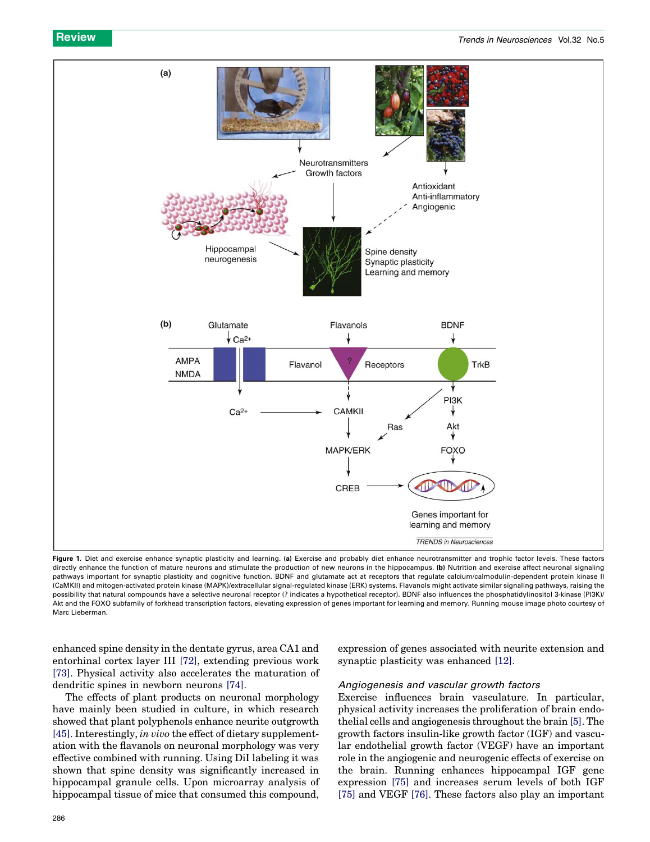<span id="page-3-0"></span>

Figure 1. Diet and exercise enhance synaptic plasticity and learning. (a) Exercise and probably diet enhance neurotransmitter and trophic factor levels. These factors directly enhance the function of mature neurons and stimulate the production of new neurons in the hippocampus. (b) Nutrition and exercise affect neuronal signaling pathways important for synaptic plasticity and cognitive function. BDNF and glutamate act at receptors that regulate calcium/calmodulin-dependent protein kinase II (CaMKII) and mitogen-activated protein kinase (MAPK)/extracellular signal-regulated kinase (ERK) systems. Flavanols might activate similar signaling pathways, raising the possibility that natural compounds have a selective neuronal receptor (? indicates a hypothetical receptor). BDNF also influences the phosphatidylinositol 3-kinase (PI3K)/ Akt and the FOXO subfamily of forkhead transcription factors, elevating expression of genes important for learning and memory. Running mouse image photo courtesy of Marc Lieberman.

enhanced spine density in the dentate gyrus, area CA1 and entorhinal cortex layer III [\[72\],](#page-7-0) extending previous work [\[73\]](#page-7-0). Physical activity also accelerates the maturation of dendritic spines in newborn neurons [\[74\].](#page-7-0)

The effects of plant products on neuronal morphology have mainly been studied in culture, in which research showed that plant polyphenols enhance neurite outgrowth [\[45\]](#page-6-0). Interestingly, in vivo the effect of dietary supplementation with the flavanols on neuronal morphology was very effective combined with running. Using DiI labeling it was shown that spine density was significantly increased in hippocampal granule cells. Upon microarray analysis of hippocampal tissue of mice that consumed this compound, expression of genes associated with neurite extension and synaptic plasticity was enhanced [\[12\].](#page-5-0)

# Angiogenesis and vascular growth factors

Exercise influences brain vasculature. In particular, physical activity increases the proliferation of brain endothelial cells and angiogenesis throughout the brain [\[5\]](#page-5-0). The growth factors insulin-like growth factor (IGF) and vascular endothelial growth factor (VEGF) have an important role in the angiogenic and neurogenic effects of exercise on the brain. Running enhances hippocampal IGF gene expression [\[75\]](#page-7-0) and increases serum levels of both IGF [\[75\]](#page-7-0) and VEGF [\[76\].](#page-7-0) These factors also play an important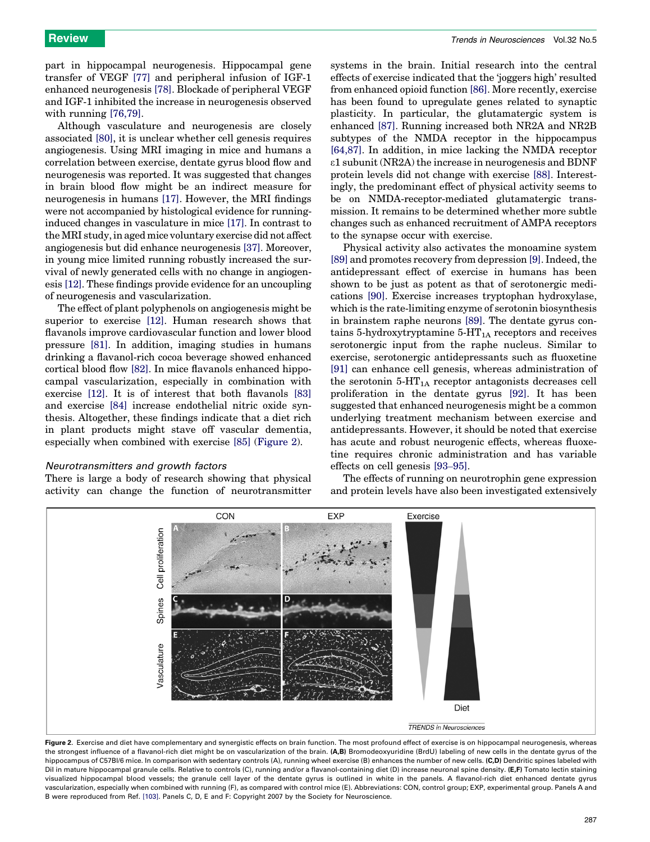part in hippocampal neurogenesis. Hippocampal gene transfer of VEGF [\[77\]](#page-7-0) and peripheral infusion of IGF-1 enhanced neurogenesis [\[78\].](#page-7-0) Blockade of peripheral VEGF and IGF-1 inhibited the increase in neurogenesis observed with running [\[76,79\]](#page-7-0).

Although vasculature and neurogenesis are closely associated [\[80\],](#page-7-0) it is unclear whether cell genesis requires angiogenesis. Using MRI imaging in mice and humans a correlation between exercise, dentate gyrus blood flow and neurogenesis was reported. It was suggested that changes in brain blood flow might be an indirect measure for neurogenesis in humans [\[17\]](#page-5-0). However, the MRI findings were not accompanied by histological evidence for runninginduced changes in vasculature in mice [\[17\]](#page-5-0). In contrast to the MRI study, in aged mice voluntary exercise did not affect angiogenesis but did enhance neurogenesis [\[37\]](#page-6-0). Moreover, in young mice limited running robustly increased the survival of newly generated cells with no change in angiogenesis [\[12\]](#page-5-0). These findings provide evidence for an uncoupling of neurogenesis and vascularization.

The effect of plant polyphenols on angiogenesis might be superior to exercise [\[12\].](#page-5-0) Human research shows that flavanols improve cardiovascular function and lower blood pressure [\[81\].](#page-7-0) In addition, imaging studies in humans drinking a flavanol-rich cocoa beverage showed enhanced cortical blood flow [\[82\].](#page-7-0) In mice flavanols enhanced hippocampal vascularization, especially in combination with exercise [\[12\]](#page-5-0). It is of interest that both flavanols [\[83\]](#page-7-0) and exercise [\[84\]](#page-7-0) increase endothelial nitric oxide synthesis. Altogether, these findings indicate that a diet rich in plant products might stave off vascular dementia, especially when combined with exercise [\[85\]](#page-7-0) (Figure 2).

#### Neurotransmitters and growth factors

There is large a body of research showing that physical activity can change the function of neurotransmitter

systems in the brain. Initial research into the central effects of exercise indicated that the 'joggers high' resulted from enhanced opioid function [\[86\]](#page-7-0). More recently, exercise has been found to upregulate genes related to synaptic plasticity. In particular, the glutamatergic system is enhanced [\[87\].](#page-7-0) Running increased both NR2A and NR2B subtypes of the NMDA receptor in the hippocampus [\[64,87\]](#page-6-0). In addition, in mice lacking the NMDA receptor e1 subunit (NR2A) the increase in neurogenesis and BDNF protein levels did not change with exercise [\[88\]](#page-7-0). Interestingly, the predominant effect of physical activity seems to be on NMDA-receptor-mediated glutamatergic transmission. It remains to be determined whether more subtle changes such as enhanced recruitment of AMPA receptors to the synapse occur with exercise.

Physical activity also activates the monoamine system [\[89\]](#page-7-0) and promotes recovery from depression [\[9\].](#page-5-0) Indeed, the antidepressant effect of exercise in humans has been shown to be just as potent as that of serotonergic medications [\[90\].](#page-7-0) Exercise increases tryptophan hydroxylase, which is the rate-limiting enzyme of serotonin biosynthesis in brainstem raphe neurons [\[89\].](#page-7-0) The dentate gyrus contains 5-hydroxytryptamine  $5-HT_{1A}$  receptors and receives serotonergic input from the raphe nucleus. Similar to exercise, serotonergic antidepressants such as fluoxetine [\[91\]](#page-7-0) can enhance cell genesis, whereas administration of the serotonin  $5-HT_{1A}$  receptor antagonists decreases cell proliferation in the dentate gyrus [\[92\].](#page-7-0) It has been suggested that enhanced neurogenesis might be a common underlying treatment mechanism between exercise and antidepressants. However, it should be noted that exercise has acute and robust neurogenic effects, whereas fluoxetine requires chronic administration and has variable effects on cell genesis [93–[95\].](#page-7-0)

The effects of running on neurotrophin gene expression and protein levels have also been investigated extensively



Figure 2. Exercise and diet have complementary and synergistic effects on brain function. The most profound effect of exercise is on hippocampal neurogenesis, whereas the strongest influence of a flavanol-rich diet might be on vascularization of the brain. (A,B) Bromodeoxyuridine (BrdU) labeling of new cells in the dentate gyrus of the hippocampus of C57BI/6 mice. In comparison with sedentary controls (A), running wheel exercise (B) enhances the number of new cells. (C,D) Dendritic spines labeled with Dil in mature hippocampal granule cells. Relative to controls (C), running and/or a flavanol-containing diet (D) increase neuronal spine density. (E,F) Tomato lectin staining visualized hippocampal blood vessels; the granule cell layer of the dentate gyrus is outlined in white in the panels. A flavanol-rich diet enhanced dentate gyrus vascularization, especially when combined with running (F), as compared with control mice (E). Abbreviations: CON, control group; EXP, experimental group. Panels A and B were reproduced from Ref. [\[103\]](#page-7-0). Panels C, D, E and F: Copyright 2007 by the Society for Neuroscience.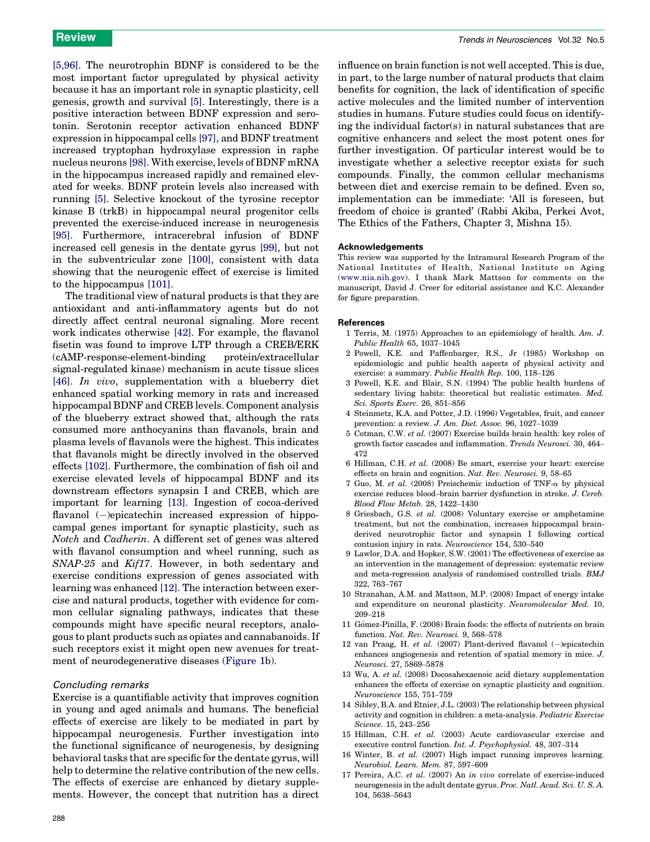<span id="page-5-0"></span>[5,96]. The neurotrophin BDNF is considered to be the most important factor upregulated by physical activity because it has an important role in synaptic plasticity, cell genesis, growth and survival [5]. Interestingly, there is a positive interaction between BDNF expression and serotonin. Serotonin receptor activation enhanced BDNF expression in hippocampal cells [\[97\],](#page-7-0) and BDNF treatment increased tryptophan hydroxylase expression in raphe nucleus neurons [\[98\]](#page-7-0). With exercise, levels of BDNF mRNA in the hippocampus increased rapidly and remained elevated for weeks. BDNF protein levels also increased with running [5]. Selective knockout of the tyrosine receptor kinase B (trkB) in hippocampal neural progenitor cells prevented the exercise-induced increase in neurogenesis [\[95\]](#page-7-0). Furthermore, intracerebral infusion of BDNF increased cell genesis in the dentate gyrus [\[99\],](#page-7-0) but not in the subventricular zone [\[100\],](#page-7-0) consistent with data showing that the neurogenic effect of exercise is limited to the hippocampus [\[101\].](#page-7-0)

The traditional view of natural products is that they are antioxidant and anti-inflammatory agents but do not directly affect central neuronal signaling. More recent work indicates otherwise [\[42\]](#page-6-0). For example, the flavanol fisetin was found to improve LTP through a CREB/ERK  $(cAMP$ -response-element-binding signal-regulated kinase) mechanism in acute tissue slices [\[46\]](#page-6-0). In vivo, supplementation with a blueberry diet enhanced spatial working memory in rats and increased hippocampal BDNF and CREB levels. Component analysis of the blueberry extract showed that, although the rats consumed more anthocyanins than flavanols, brain and plasma levels of flavanols were the highest. This indicates that flavanols might be directly involved in the observed effects [\[102\].](#page-7-0) Furthermore, the combination of fish oil and exercise elevated levels of hippocampal BDNF and its downstream effectors synapsin I and CREB, which are important for learning [13]. Ingestion of cocoa-derived flavanol (-)epicatechin increased expression of hippocampal genes important for synaptic plasticity, such as Notch and Cadherin. A different set of genes was altered with flavanol consumption and wheel running, such as SNAP-25 and Kif17. However, in both sedentary and exercise conditions expression of genes associated with learning was enhanced [12]. The interaction between exercise and natural products, together with evidence for common cellular signaling pathways, indicates that these compounds might have specific neural receptors, analogous to plant products such as opiates and cannabanoids. If such receptors exist it might open new avenues for treatment of neurodegenerative diseases ([Figure 1b](#page-3-0)).

#### Concluding remarks

Exercise is a quantifiable activity that improves cognition in young and aged animals and humans. The beneficial effects of exercise are likely to be mediated in part by hippocampal neurogenesis. Further investigation into the functional significance of neurogenesis, by designing behavioral tasks that are specific for the dentate gyrus, will help to determine the relative contribution of the new cells. The effects of exercise are enhanced by dietary supplements. However, the concept that nutrition has a direct influence on brain function is not well accepted. This is due, in part, to the large number of natural products that claim benefits for cognition, the lack of identification of specific active molecules and the limited number of intervention studies in humans. Future studies could focus on identifying the individual factor(s) in natural substances that are cognitive enhancers and select the most potent ones for further investigation. Of particular interest would be to investigate whether a selective receptor exists for such compounds. Finally, the common cellular mechanisms between diet and exercise remain to be defined. Even so, implementation can be immediate: 'All is foreseen, but freedom of choice is granted' (Rabbi Akiba, Perkei Avot, The Ethics of the Fathers, Chapter 3, Mishna 15).

#### Acknowledgements

This review was supported by the Intramural Research Program of the National Institutes of Health, National Institute on Aging [\(www.nia.nih.gov\)](http://www.nia.nih.gov/). I thank Mark Mattson for comments on the manuscript, David J. Creer for editorial assistance and K.C. Alexander for figure preparation.

#### **References**

- 1 Terris, M. (1975) Approaches to an epidemiology of health. Am. J. Public Health 65, 1037–1045
- 2 Powell, K.E. and Paffenbarger, R.S., Jr (1985) Workshop on epidemiologic and public health aspects of physical activity and exercise: a summary. Public Health Rep. 100, 118–126
- 3 Powell, K.E. and Blair, S.N. (1994) The public health burdens of sedentary living habits: theoretical but realistic estimates. Med. Sci. Sports Exerc. 26, 851–856
- 4 Steinmetz, K.A. and Potter, J.D. (1996) Vegetables, fruit, and cancer prevention: a review. J. Am. Diet. Assoc. 96, 1027–1039
- 5 Cotman, C.W. et al. (2007) Exercise builds brain health: key roles of growth factor cascades and inflammation. Trends Neurosci. 30, 464– 472
- 6 Hillman, C.H. et al. (2008) Be smart, exercise your heart: exercise effects on brain and cognition. Nat. Rev. Neurosci. 9, 58–65
- 7 Guo, M. et al. (2008) Preischemic induction of TNF- $\alpha$  by physical exercise reduces blood–brain barrier dysfunction in stroke. J. Cereb. Blood Flow Metab. 28, 1422–1430
- 8 Griesbach, G.S. et al. (2008) Voluntary exercise or amphetamine treatment, but not the combination, increases hippocampal brainderived neurotrophic factor and synapsin I following cortical contusion injury in rats. Neuroscience 154, 530–540
- 9 Lawlor, D.A. and Hopker, S.W. (2001) The effectiveness of exercise as an intervention in the management of depression: systematic review and meta-regression analysis of randomised controlled trials. BMJ 322, 763–767
- 10 Stranahan, A.M. and Mattson, M.P. (2008) Impact of energy intake and expenditure on neuronal plasticity. Neuromolecular Med. 10, 209–218
- 11 Gómez-Pinilla, F. (2008) Brain foods: the effects of nutrients on brain function. Nat. Rev. Neurosci. 9, 568–578
- 12 van Praag, H. et al. (2007) Plant-derived flavanol (-)epicatechin enhances angiogenesis and retention of spatial memory in mice. J. Neurosci. 27, 5869–5878
- 13 Wu, A. et al. (2008) Docosahexaenoic acid dietary supplementation enhances the effects of exercise on synaptic plasticity and cognition. Neuroscience 155, 751–759
- 14 Sibley, B.A. and Etnier, J.L. (2003) The relationship between physical activity and cognition in children: a meta-analysis. Pediatric Exercise Science. 15, 243–256
- 15 Hillman, C.H. et al. (2003) Acute cardiovascular exercise and executive control function. Int. J. Psychophysiol. 48, 307–314
- 16 Winter, B. et al. (2007) High impact running improves learning. Neurobiol. Learn. Mem. 87, 597–609
- 17 Pereira, A.C. et al. (2007) An in vivo correlate of exercise-induced neurogenesis in the adult dentate gyrus. Proc. Natl. Acad. Sci. U. S. A. 104, 5638–5643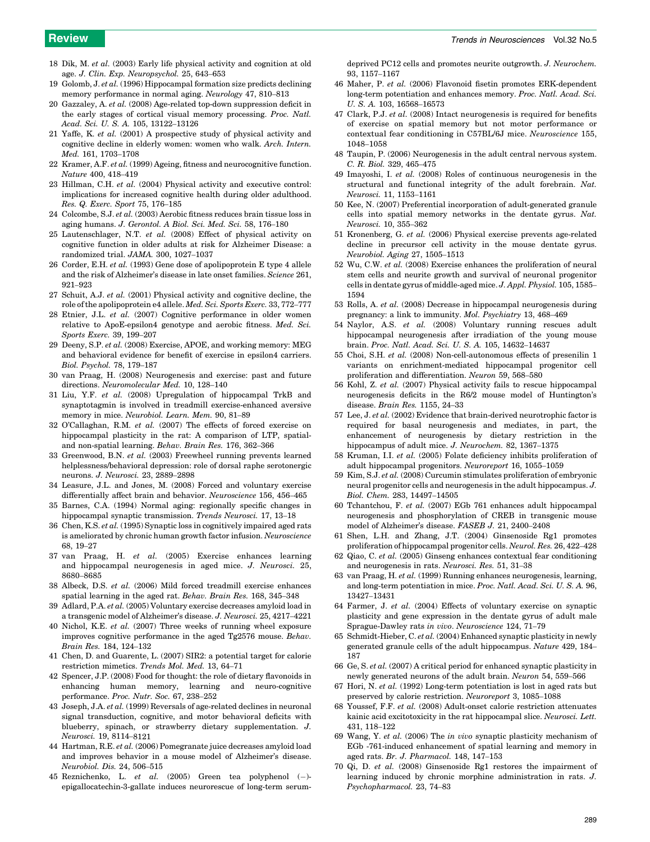- <span id="page-6-0"></span>18 Dik, M. et al. (2003) Early life physical activity and cognition at old age. J. Clin. Exp. Neuropsychol. 25, 643–653
- 19 Golomb, J. et al. (1996) Hippocampal formation size predicts declining memory performance in normal aging. Neurology 47, 810–813
- 20 Gazzaley, A. et al. (2008) Age-related top-down suppression deficit in the early stages of cortical visual memory processing. Proc. Natl. Acad. Sci. U. S. A. 105, 13122–13126
- 21 Yaffe, K. et al. (2001) A prospective study of physical activity and cognitive decline in elderly women: women who walk. Arch. Intern. Med. 161, 1703–1708
- 22 Kramer, A.F. et al. (1999) Ageing, fitness and neurocognitive function. Nature 400, 418–419
- 23 Hillman, C.H. et al. (2004) Physical activity and executive control: implications for increased cognitive health during older adulthood. Res. Q. Exerc. Sport 75, 176–185
- 24 Colcombe, S.J. et al. (2003) Aerobic fitness reduces brain tissue loss in aging humans. J. Gerontol. A Biol. Sci. Med. Sci. 58, 176–180
- 25 Lautenschlager, N.T. et al. (2008) Effect of physical activity on cognitive function in older adults at risk for Alzheimer Disease: a randomized trial. JAMA. 300, 1027–1037
- 26 Corder, E.H. et al. (1993) Gene dose of apolipoprotein E type 4 allele and the risk of Alzheimer's disease in late onset families. Science 261, 921–923
- 27 Schuit, A.J. et al. (2001) Physical activity and cognitive decline, the role of the apolipoprotein e4 allele. Med. Sci. Sports Exerc. 33, 772–777
- 28 Etnier, J.L. et al. (2007) Cognitive performance in older women relative to ApoE-epsilon4 genotype and aerobic fitness. Med. Sci. Sports Exerc. 39, 199–207
- 29 Deeny, S.P. et al. (2008) Exercise, APOE, and working memory: MEG and behavioral evidence for benefit of exercise in epsilon4 carriers. Biol. Psychol. 78, 179–187
- 30 van Praag, H. (2008) Neurogenesis and exercise: past and future directions. Neuromolecular Med. 10, 128–140
- 31 Liu, Y.F. et al. (2008) Upregulation of hippocampal TrkB and synaptotagmin is involved in treadmill exercise-enhanced aversive memory in mice. Neurobiol. Learn. Mem. 90, 81–89
- 32 O'Callaghan, R.M. et al. (2007) The effects of forced exercise on hippocampal plasticity in the rat: A comparison of LTP, spatialand non-spatial learning. Behav. Brain Res. 176, 362–366
- 33 Greenwood, B.N. et al. (2003) Freewheel running prevents learned helplessness/behavioral depression: role of dorsal raphe serotonergic neurons. J. Neurosci. 23, 2889–2898
- 34 Leasure, J.L. and Jones, M. (2008) Forced and voluntary exercise differentially affect brain and behavior. Neuroscience 156, 456–465
- 35 Barnes, C.A. (1994) Normal aging: regionally specific changes in hippocampal synaptic transmission. Trends Neurosci. 17, 13–18
- 36 Chen, K.S. et al. (1995) Synaptic loss in cognitively impaired aged rats is ameliorated by chronic human growth factor infusion. Neuroscience 68, 19–27
- 37 van Praag, H. et al. (2005) Exercise enhances learning and hippocampal neurogenesis in aged mice. J. Neurosci. 25, 8680–8685
- 38 Albeck, D.S. et al. (2006) Mild forced treadmill exercise enhances spatial learning in the aged rat. Behav. Brain Res. 168, 345–348
- 39 Adlard, P.A. et al. (2005) Voluntary exercise decreases amyloid load in a transgenic model of Alzheimer's disease. J. Neurosci. 25, 4217–4221
- 40 Nichol, K.E. et al. (2007) Three weeks of running wheel exposure improves cognitive performance in the aged Tg2576 mouse. Behav. Brain Res. 184, 124–132
- 41 Chen, D. and Guarente, L. (2007) SIR2: a potential target for calorie restriction mimetics. Trends Mol. Med. 13, 64–71
- 42 Spencer, J.P. (2008) Food for thought: the role of dietary flavonoids in enhancing human memory, learning and neuro-cognitive performance. Proc. Nutr. Soc. 67, 238–252
- 43 Joseph, J.A. et al. (1999) Reversals of age-related declines in neuronal signal transduction, cognitive, and motor behavioral deficits with blueberry, spinach, or strawberry dietary supplementation. J. Neurosci. 19, 8114–8121
- 44 Hartman, R.E. et al. (2006) Pomegranate juice decreases amyloid load and improves behavior in a mouse model of Alzheimer's disease. Neurobiol. Dis. 24, 506–515
- 45 Reznichenko, L. *et al.* (2005) Green tea polyphenol  $(-)$ epigallocatechin-3-gallate induces neurorescue of long-term serum-

deprived PC12 cells and promotes neurite outgrowth. J. Neurochem. 93, 1157–1167

- 46 Maher, P. et al. (2006) Flavonoid fisetin promotes ERK-dependent long-term potentiation and enhances memory. Proc. Natl. Acad. Sci. U. S. A. 103, 16568–16573
- 47 Clark, P.J. et al. (2008) Intact neurogenesis is required for benefits of exercise on spatial memory but not motor performance or contextual fear conditioning in C57BL/6J mice. Neuroscience 155, 1048–1058
- 48 Taupin, P. (2006) Neurogenesis in the adult central nervous system. C. R. Biol. 329, 465–475
- 49 Imayoshi, I. et al. (2008) Roles of continuous neurogenesis in the structural and functional integrity of the adult forebrain. Nat. Neurosci. 11, 1153–1161
- 50 Kee, N. (2007) Preferential incorporation of adult-generated granule cells into spatial memory networks in the dentate gyrus. Nat. Neurosci. 10, 355–362
- 51 Kronenberg, G. et al. (2006) Physical exercise prevents age-related decline in precursor cell activity in the mouse dentate gyrus. Neurobiol. Aging 27, 1505–1513
- 52 Wu, C.W. et al. (2008) Exercise enhances the proliferation of neural stem cells and neurite growth and survival of neuronal progenitor cells in dentate gyrus of middle-aged mice. J. Appl. Physiol. 105, 1585– 1594
- 53 Rolls, A. et al. (2008) Decrease in hippocampal neurogenesis during pregnancy: a link to immunity. Mol. Psychiatry 13, 468–469
- 54 Naylor, A.S. et al. (2008) Voluntary running rescues adult hippocampal neurogenesis after irradiation of the young mouse brain. Proc. Natl. Acad. Sci. U. S. A. 105, 14632–14637
- 55 Choi, S.H. et al. (2008) Non-cell-autonomous effects of presenilin 1 variants on enrichment-mediated hippocampal progenitor cell proliferation and differentiation. Neuron 59, 568–580
- 56 Kohl, Z. et al. (2007) Physical activity fails to rescue hippocampal neurogenesis deficits in the R6/2 mouse model of Huntington's disease. Brain Res. 1155, 24–33
- 57 Lee, J. et al. (2002) Evidence that brain-derived neurotrophic factor is required for basal neurogenesis and mediates, in part, the enhancement of neurogenesis by dietary restriction in the hippocampus of adult mice. J. Neurochem. 82, 1367-1375
- 58 Kruman, I.I. et al. (2005) Folate deficiency inhibits proliferation of adult hippocampal progenitors. Neuroreport 16, 1055–1059
- 59 Kim, S.J. et al. (2008) Curcumin stimulates proliferation of embryonic neural progenitor cells and neurogenesis in the adult hippocampus. J. Biol. Chem. 283, 14497–14505
- 60 Tchantchou, F. et al. (2007) EGb 761 enhances adult hippocampal neurogenesis and phosphorylation of CREB in transgenic mouse model of Alzheimer's disease. FASEB J. 21, 2400–2408
- 61 Shen, L.H. and Zhang, J.T. (2004) Ginsenoside Rg1 promotes proliferation of hippocampal progenitor cells. Neurol. Res. 26, 422–428
- 62 Qiao, C. et al. (2005) Ginseng enhances contextual fear conditioning and neurogenesis in rats. Neurosci. Res. 51, 31–38
- 63 van Praag, H. et al. (1999) Running enhances neurogenesis, learning, and long-term potentiation in mice. Proc. Natl. Acad. Sci. U. S. A. 96, 13427–13431
- 64 Farmer, J. et al. (2004) Effects of voluntary exercise on synaptic plasticity and gene expression in the dentate gyrus of adult male Sprague-Dawley rats in vivo. Neuroscience 124, 71–79
- 65 Schmidt-Hieber, C. et al. (2004) Enhanced synaptic plasticity in newly generated granule cells of the adult hippocampus. Nature 429, 184– 187
- 66 Ge, S. et al. (2007) A critical period for enhanced synaptic plasticity in newly generated neurons of the adult brain. Neuron 54, 559–566
- 67 Hori, N. et al. (1992) Long-term potentiation is lost in aged rats but preserved by calorie restriction. Neuroreport 3, 1085–1088
- 68 Youssef, F.F. et al. (2008) Adult-onset calorie restriction attenuates kainic acid excitotoxicity in the rat hippocampal slice. Neurosci. Lett. 431, 118–122
- 69 Wang, Y. et al. (2006) The in vivo synaptic plasticity mechanism of EGb -761-induced enhancement of spatial learning and memory in aged rats. Br. J. Pharmacol. 148, 147–153
- 70 Qi, D. et al. (2008) Ginsenoside Rg1 restores the impairment of learning induced by chronic morphine administration in rats. J. Psychopharmacol. 23, 74–83